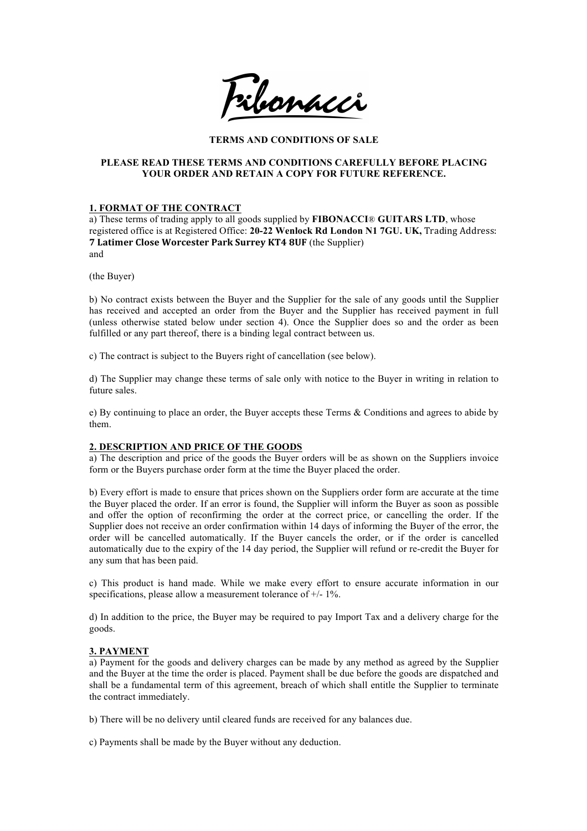Filomacci

# **TERMS AND CONDITIONS OF SALE**

## **PLEASE READ THESE TERMS AND CONDITIONS CAREFULLY BEFORE PLACING YOUR ORDER AND RETAIN A COPY FOR FUTURE REFERENCE.**

# **1. FORMAT OF THE CONTRACT**

a) These terms of trading apply to all goods supplied by **FIBONACCI**® **GUITARS LTD**, whose registered office is at Registered Office: 20-22 Wenlock Rd London N1 7GU. UK, Trading Address: **7 Latimer Close Worcester Park Surrey KT4 8UF** (the Supplier) and

(the Buyer)

b) No contract exists between the Buyer and the Supplier for the sale of any goods until the Supplier has received and accepted an order from the Buyer and the Supplier has received payment in full (unless otherwise stated below under section 4). Once the Supplier does so and the order as been fulfilled or any part thereof, there is a binding legal contract between us.

c) The contract is subject to the Buyers right of cancellation (see below).

d) The Supplier may change these terms of sale only with notice to the Buyer in writing in relation to future sales.

e) By continuing to place an order, the Buyer accepts these Terms & Conditions and agrees to abide by them.

## **2. DESCRIPTION AND PRICE OF THE GOODS**

a) The description and price of the goods the Buyer orders will be as shown on the Suppliers invoice form or the Buyers purchase order form at the time the Buyer placed the order.

b) Every effort is made to ensure that prices shown on the Suppliers order form are accurate at the time the Buyer placed the order. If an error is found, the Supplier will inform the Buyer as soon as possible and offer the option of reconfirming the order at the correct price, or cancelling the order. If the Supplier does not receive an order confirmation within 14 days of informing the Buyer of the error, the order will be cancelled automatically. If the Buyer cancels the order, or if the order is cancelled automatically due to the expiry of the 14 day period, the Supplier will refund or re-credit the Buyer for any sum that has been paid.

c) This product is hand made. While we make every effort to ensure accurate information in our specifications, please allow a measurement tolerance of  $+/- 1\%$ .

d) In addition to the price, the Buyer may be required to pay Import Tax and a delivery charge for the goods.

## **3. PAYMENT**

a) Payment for the goods and delivery charges can be made by any method as agreed by the Supplier and the Buyer at the time the order is placed. Payment shall be due before the goods are dispatched and shall be a fundamental term of this agreement, breach of which shall entitle the Supplier to terminate the contract immediately.

b) There will be no delivery until cleared funds are received for any balances due.

c) Payments shall be made by the Buyer without any deduction.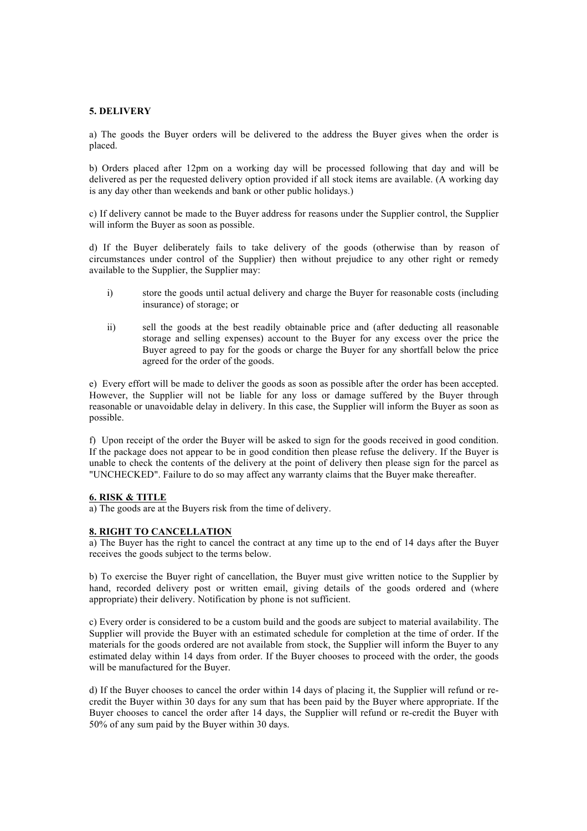#### **5. DELIVERY**

a) The goods the Buyer orders will be delivered to the address the Buyer gives when the order is placed.

b) Orders placed after 12pm on a working day will be processed following that day and will be delivered as per the requested delivery option provided if all stock items are available. (A working day is any day other than weekends and bank or other public holidays.)

c) If delivery cannot be made to the Buyer address for reasons under the Supplier control, the Supplier will inform the Buyer as soon as possible.

d) If the Buyer deliberately fails to take delivery of the goods (otherwise than by reason of circumstances under control of the Supplier) then without prejudice to any other right or remedy available to the Supplier, the Supplier may:

- i) store the goods until actual delivery and charge the Buyer for reasonable costs (including insurance) of storage; or
- ii) sell the goods at the best readily obtainable price and (after deducting all reasonable storage and selling expenses) account to the Buyer for any excess over the price the Buyer agreed to pay for the goods or charge the Buyer for any shortfall below the price agreed for the order of the goods.

e) Every effort will be made to deliver the goods as soon as possible after the order has been accepted. However, the Supplier will not be liable for any loss or damage suffered by the Buyer through reasonable or unavoidable delay in delivery. In this case, the Supplier will inform the Buyer as soon as possible.

f) Upon receipt of the order the Buyer will be asked to sign for the goods received in good condition. If the package does not appear to be in good condition then please refuse the delivery. If the Buyer is unable to check the contents of the delivery at the point of delivery then please sign for the parcel as "UNCHECKED". Failure to do so may affect any warranty claims that the Buyer make thereafter.

#### **6. RISK & TITLE**

a) The goods are at the Buyers risk from the time of delivery.

#### **8. RIGHT TO CANCELLATION**

a) The Buyer has the right to cancel the contract at any time up to the end of 14 days after the Buyer receives the goods subject to the terms below.

b) To exercise the Buyer right of cancellation, the Buyer must give written notice to the Supplier by hand, recorded delivery post or written email, giving details of the goods ordered and (where appropriate) their delivery. Notification by phone is not sufficient.

c) Every order is considered to be a custom build and the goods are subject to material availability. The Supplier will provide the Buyer with an estimated schedule for completion at the time of order. If the materials for the goods ordered are not available from stock, the Supplier will inform the Buyer to any estimated delay within 14 days from order. If the Buyer chooses to proceed with the order, the goods will be manufactured for the Buyer.

d) If the Buyer chooses to cancel the order within 14 days of placing it, the Supplier will refund or recredit the Buyer within 30 days for any sum that has been paid by the Buyer where appropriate. If the Buyer chooses to cancel the order after 14 days, the Supplier will refund or re-credit the Buyer with 50% of any sum paid by the Buyer within 30 days.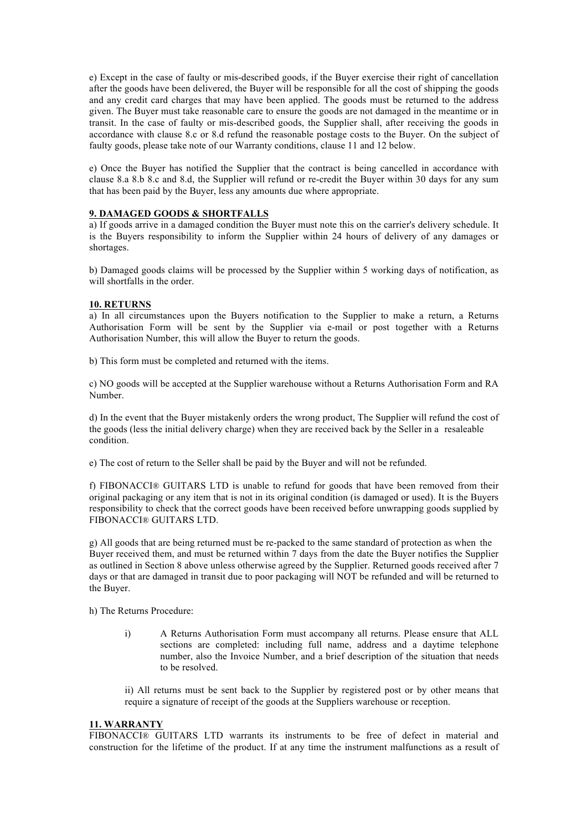e) Except in the case of faulty or mis-described goods, if the Buyer exercise their right of cancellation after the goods have been delivered, the Buyer will be responsible for all the cost of shipping the goods and any credit card charges that may have been applied. The goods must be returned to the address given. The Buyer must take reasonable care to ensure the goods are not damaged in the meantime or in transit. In the case of faulty or mis-described goods, the Supplier shall, after receiving the goods in accordance with clause 8.c or 8.d refund the reasonable postage costs to the Buyer. On the subject of faulty goods, please take note of our Warranty conditions, clause 11 and 12 below.

e) Once the Buyer has notified the Supplier that the contract is being cancelled in accordance with clause 8.a 8.b 8.c and 8.d, the Supplier will refund or re-credit the Buyer within 30 days for any sum that has been paid by the Buyer, less any amounts due where appropriate.

## **9. DAMAGED GOODS & SHORTFALLS**

a) If goods arrive in a damaged condition the Buyer must note this on the carrier's delivery schedule. It is the Buyers responsibility to inform the Supplier within 24 hours of delivery of any damages or shortages.

b) Damaged goods claims will be processed by the Supplier within 5 working days of notification, as will shortfalls in the order.

#### **10. RETURNS**

a) In all circumstances upon the Buyers notification to the Supplier to make a return, a Returns Authorisation Form will be sent by the Supplier via e-mail or post together with a Returns Authorisation Number, this will allow the Buyer to return the goods.

b) This form must be completed and returned with the items.

c) NO goods will be accepted at the Supplier warehouse without a Returns Authorisation Form and RA Number.

d) In the event that the Buyer mistakenly orders the wrong product, The Supplier will refund the cost of the goods (less the initial delivery charge) when they are received back by the Seller in a resaleable condition.

e) The cost of return to the Seller shall be paid by the Buyer and will not be refunded.

f) FIBONACCI® GUITARS LTD is unable to refund for goods that have been removed from their original packaging or any item that is not in its original condition (is damaged or used). It is the Buyers responsibility to check that the correct goods have been received before unwrapping goods supplied by FIBONACCI® GUITARS LTD.

g) All goods that are being returned must be re-packed to the same standard of protection as when the Buyer received them, and must be returned within 7 days from the date the Buyer notifies the Supplier as outlined in Section 8 above unless otherwise agreed by the Supplier. Returned goods received after 7 days or that are damaged in transit due to poor packaging will NOT be refunded and will be returned to the Buyer.

h) The Returns Procedure:

i) A Returns Authorisation Form must accompany all returns. Please ensure that ALL sections are completed: including full name, address and a daytime telephone number, also the Invoice Number, and a brief description of the situation that needs to be resolved.

ii) All returns must be sent back to the Supplier by registered post or by other means that require a signature of receipt of the goods at the Suppliers warehouse or reception.

#### **11. WARRANTY**

FIBONACCI® GUITARS LTD warrants its instruments to be free of defect in material and construction for the lifetime of the product. If at any time the instrument malfunctions as a result of